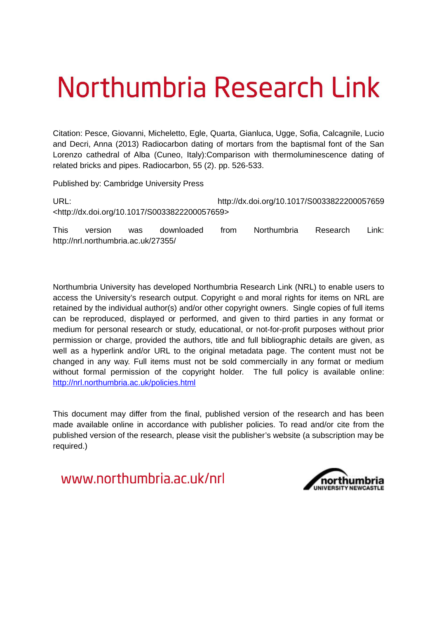# Northumbria Research Link

Citation: Pesce, Giovanni, Micheletto, Egle, Quarta, Gianluca, Ugge, Sofia, Calcagnile, Lucio and Decri, Anna (2013) Radiocarbon dating of mortars from the baptismal font of the San Lorenzo cathedral of Alba (Cuneo, Italy):Comparison with thermoluminescence dating of related bricks and pipes. Radiocarbon, 55 (2). pp. 526-533.

Published by: Cambridge University Press

URL: http://dx.doi.org/10.1017/S0033822200057659 <http://dx.doi.org/10.1017/S0033822200057659>

This version was downloaded from Northumbria Research Link: http://nrl.northumbria.ac.uk/27355/

Northumbria University has developed Northumbria Research Link (NRL) to enable users to access the University's research output. Copyright  $\circ$  and moral rights for items on NRL are retained by the individual author(s) and/or other copyright owners. Single copies of full items can be reproduced, displayed or performed, and given to third parties in any format or medium for personal research or study, educational, or not-for-profit purposes without prior permission or charge, provided the authors, title and full bibliographic details are given, as well as a hyperlink and/or URL to the original metadata page. The content must not be changed in any way. Full items must not be sold commercially in any format or medium without formal permission of the copyright holder. The full policy is available online: <http://nrl.northumbria.ac.uk/policies.html>

This document may differ from the final, published version of the research and has been made available online in accordance with publisher policies. To read and/or cite from the published version of the research, please visit the publisher's website (a subscription may be required.)

www.northumbria.ac.uk/nrl

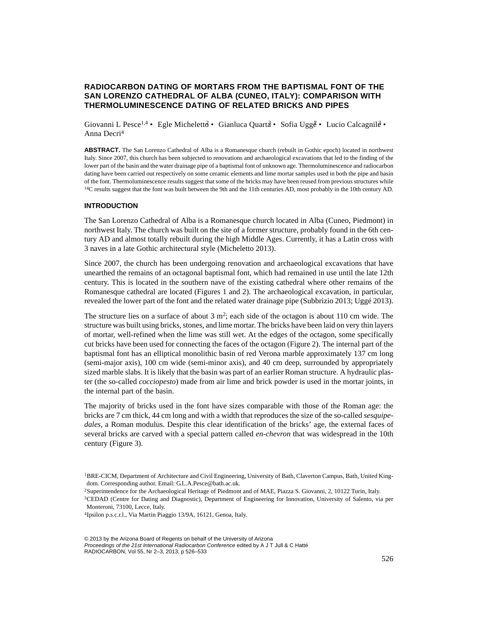# **RADIOCARBON DATING OF MORTARS FROM THE BAPTISMAL FONT OF THE SAN LORENZO CATHEDRAL OF ALBA (CUNEO, ITALY): COMPARISON WITH THERMOLUMINESCENCE DATING OF RELATED BRICKS AND PIPES**

Giovanni L Pesce<sup>1,4</sup> • Egle Michelett $\theta$  • Gianluca Quart $\hat{a}$  • Sofia Ugg $\hat{e}$  • Lucio Calcagnil $\hat{e}$  • Anna Decri<sup>4</sup>

**ABSTRACT.** The San Lorenzo Cathedral of Alba is a Romanesque church (rebuilt in Gothic epoch) located in northwest Italy. Since 2007, this church has been subjected to renovations and archaeological excavations that led to the finding of the lower part of the basin and the water drainage pipe of a baptismal font of unknown age. Thermoluminescence and radiocarbon dating have been carried out respectively on some ceramic elements and lime mortar samples used in both the pipe and basin of the font. Thermoluminescence results suggest that some of the bricks may have been reused from previous structures while <sup>14</sup>C results suggest that the font was built between the 9th and the 11th centuries AD, most probably in the 10th century AD.

#### **INTRODUCTION**

The San Lorenzo Cathedral of Alba is a Romanesque church located in Alba (Cuneo, Piedmont) in northwest Italy. The church was built on the site of a former structure, probably found in the 6th century AD and almost totally rebuilt during the high Middle Ages. Currently, it has a Latin cross with 3 naves in a late Gothic architectural style (Micheletto 2013).

Since 2007, the church has been undergoing renovation and archaeological excavations that have unearthed the remains of an octagonal baptismal font, which had remained in use until the late 12th century. This is located in the southern nave of the existing cathedral where other remains of the Romanesque cathedral are located (Figures 1 and 2). The archaeological excavation, in particular, revealed the lower part of the font and the related water drainage pipe (Subbrizio 2013; Uggé 2013).

The structure lies on a surface of about  $3 \text{ m}^2$ ; each side of the octagon is about 110 cm wide. The structure was built using bricks, stones, and lime mortar. The bricks have been laid on very thin layers of mortar, well-refined when the lime was still wet. At the edges of the octagon, some specifically cut bricks have been used for connecting the faces of the octagon (Figure 2). The internal part of the baptismal font has an elliptical monolithic basin of red Verona marble approximately 137 cm long (semi-major axis), 100 cm wide (semi-minor axis), and 40 cm deep, surrounded by appropriately sized marble slabs. It is likely that the basin was part of an earlier Roman structure. A hydraulic plaster (the so-called *cocciopesto*) made from air lime and brick powder is used in the mortar joints, in the internal part of the basin.

The majority of bricks used in the font have sizes comparable with those of the Roman age: the bricks are 7 cm thick, 44 cm long and with a width that reproduces the size of the so-called *sesquipedales*, a Roman modulus. Despite this clear identification of the bricks' age, the external faces of several bricks are carved with a special pattern called *en-chevron* that was widespread in the 10th century (Figure 3).

<sup>1</sup>BRE-CICM, Department of Architecture and Civil Engineering, University of Bath, Claverton Campus, Bath, United Kingdom. Corresponding author. Email: G.L.A.Pesce@bath.ac.uk.

<sup>2</sup>Superintendence for the Archaeological Heritage of Piedmont and of MAE, Piazza S. Giovanni, 2, 10122 Turin, Italy.

<sup>3</sup>CEDAD (Centre for Dating and Diagnostic), Department of Engineering for Innovation, University of Salento, via per Monteroni, 73100, Lecce, Italy.

<sup>4</sup> Ipsilon p.s.c.r.l., Via Martin Piaggio 13/9A, 16121, Genoa, Italy.

<sup>© 2013</sup> by the Arizona Board of Regents on behalf of the University of Arizona Proceedings of the 21st International Radiocarbon Conference edited by A J T Jull & C Hatté RADIOCARBON, Vol 55, Nr 2–3, 2013, p 526–533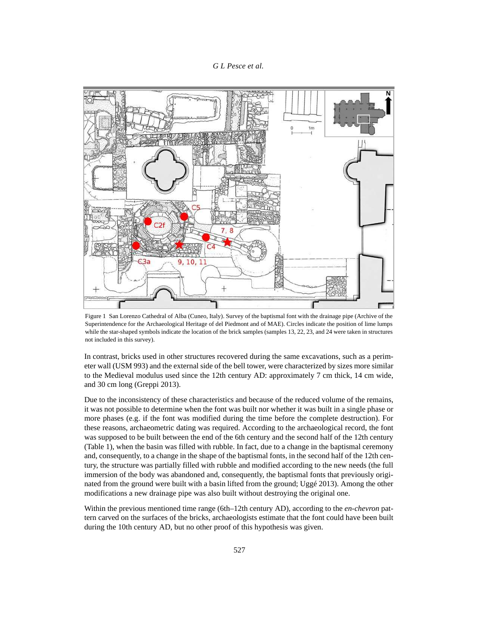### *G L Pesce et al.*



Figure 1 San Lorenzo Cathedral of Alba (Cuneo, Italy). Survey of the baptismal font with the drainage pipe (Archive of the Superintendence for the Archaeological Heritage of del Piedmont and of MAE). Circles indicate the position of lime lumps while the star-shaped symbols indicate the location of the brick samples (samples 13, 22, 23, and 24 were taken in structures not included in this survey).

In contrast, bricks used in other structures recovered during the same excavations, such as a perimeter wall (USM 993) and the external side of the bell tower, were characterized by sizes more similar to the Medieval modulus used since the 12th century AD: approximately 7 cm thick, 14 cm wide, and 30 cm long (Greppi 2013).

Due to the inconsistency of these characteristics and because of the reduced volume of the remains, it was not possible to determine when the font was built nor whether it was built in a single phase or more phases (e.g. if the font was modified during the time before the complete destruction). For these reasons, archaeometric dating was required. According to the archaeological record, the font was supposed to be built between the end of the 6th century and the second half of the 12th century (Table 1), when the basin was filled with rubble. In fact, due to a change in the baptismal ceremony and, consequently, to a change in the shape of the baptismal fonts, in the second half of the 12th century, the structure was partially filled with rubble and modified according to the new needs (the full immersion of the body was abandoned and, consequently, the baptismal fonts that previously originated from the ground were built with a basin lifted from the ground; Uggé 2013). Among the other modifications a new drainage pipe was also built without destroying the original one.

Within the previous mentioned time range (6th–12th century AD), according to the *en-chevron* pattern carved on the surfaces of the bricks, archaeologists estimate that the font could have been built during the 10th century AD, but no other proof of this hypothesis was given.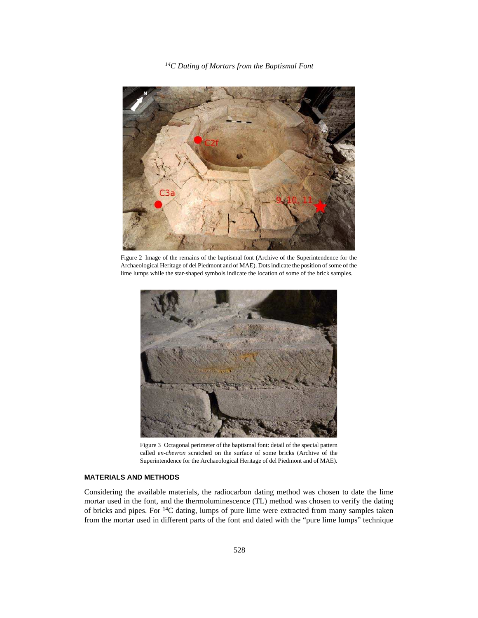*<sup>14</sup>C Dating of Mortars from the Baptismal Font*



Figure 2 Image of the remains of the baptismal font (Archive of the Superintendence for the Archaeological Heritage of del Piedmont and of MAE). Dots indicate the position of some of the lime lumps while the star-shaped symbols indicate the location of some of the brick samples.



Figure 3 Octagonal perimeter of the baptismal font: detail of the special pattern called *en-chevron* scratched on the surface of some bricks (Archive of the Superintendence for the Archaeological Heritage of del Piedmont and of MAE).

# **MATERIALS AND METHODS**

Considering the available materials, the radiocarbon dating method was chosen to date the lime mortar used in the font, and the thermoluminescence (TL) method was chosen to verify the dating of bricks and pipes. For <sup>14</sup>C dating, lumps of pure lime were extracted from many samples taken from the mortar used in different parts of the font and dated with the "pure lime lumps" technique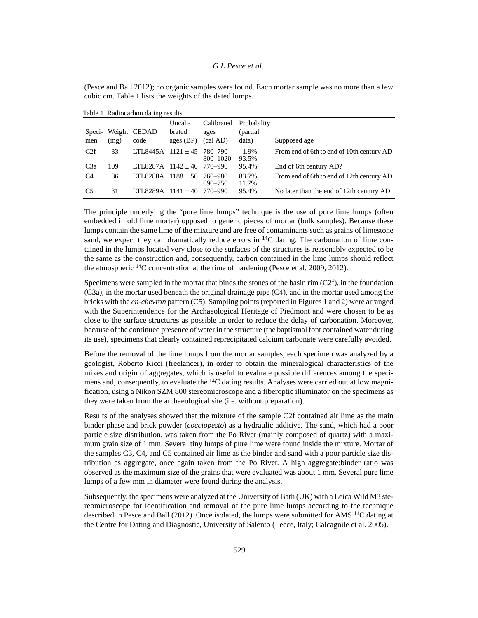(Pesce and Ball 2012); no organic samples were found. Each mortar sample was no more than a few cubic cm. Table 1 lists the weights of the dated lumps.

|                  |      | ັ               | Uncali-     | Calibrated          | Probability    |                                           |
|------------------|------|-----------------|-------------|---------------------|----------------|-------------------------------------------|
| Speci-           |      | Weight CEDAD    | brated      | ages                | (partial       |                                           |
| men              | (mg) | code            | ages $(BP)$ | (cal AD)            | data)          | Supposed age                              |
| C2f              | 33   | LTL8445A        | $1121 + 45$ | 780–790<br>800-1020 | 1.9%<br>93.5%  | From end of 6th to end of 10th century AD |
| C <sub>3</sub> a | 109  | LTL8287A        | $1142 + 40$ | 770–990             | 95.4%          | End of 6th century AD?                    |
| C <sub>4</sub>   | 86   | <b>LTL8288A</b> | $1188 + 50$ | 760–980<br>690–750  | 83.7%<br>11.7% | From end of 6th to end of 12th century AD |
| C <sub>5</sub>   | 31   | LTL8289A        | $1141 + 40$ | 770–990             | 95.4%          | No later than the end of 12th century AD  |

Table 1 Radiocarbon dating results.

The principle underlying the "pure lime lumps" technique is the use of pure lime lumps (often embedded in old lime mortar) opposed to generic pieces of mortar (bulk samples). Because these lumps contain the same lime of the mixture and are free of contaminants such as grains of limestone sand, we expect they can dramatically reduce errors in  $^{14}$ C dating. The carbonation of lime contained in the lumps located very close to the surfaces of the structures is reasonably expected to be the same as the construction and, consequently, carbon contained in the lime lumps should reflect the atmospheric <sup>14</sup>C concentration at the time of hardening (Pesce et al. 2009, 2012).

Specimens were sampled in the mortar that binds the stones of the basin rim (C2f), in the foundation (C3a), in the mortar used beneath the original drainage pipe (C4), and in the mortar used among the bricks with the *en-chevron* pattern (C5). Sampling points (reported in Figures 1 and 2) were arranged with the Superintendence for the Archaeological Heritage of Piedmont and were chosen to be as close to the surface structures as possible in order to reduce the delay of carbonation. Moreover, because of the continued presence of water in the structure (the baptismal font contained water during its use), specimens that clearly contained reprecipitated calcium carbonate were carefully avoided.

Before the removal of the lime lumps from the mortar samples, each specimen was analyzed by a geologist, Roberto Ricci (freelancer), in order to obtain the mineralogical characteristics of the mixes and origin of aggregates, which is useful to evaluate possible differences among the specimens and, consequently, to evaluate the <sup>14</sup>C dating results. Analyses were carried out at low magnification, using a Nikon SZM 800 stereomicroscope and a fiberoptic illuminator on the specimens as they were taken from the archaeological site (i.e. without preparation).

Results of the analyses showed that the mixture of the sample C2f contained air lime as the main binder phase and brick powder (*cocciopesto*) as a hydraulic additive. The sand, which had a poor particle size distribution, was taken from the Po River (mainly composed of quartz) with a maximum grain size of 1 mm. Several tiny lumps of pure lime were found inside the mixture. Mortar of the samples C3, C4, and C5 contained air lime as the binder and sand with a poor particle size distribution as aggregate, once again taken from the Po River. A high aggregate:binder ratio was observed as the maximum size of the grains that were evaluated was about 1 mm. Several pure lime lumps of a few mm in diameter were found during the analysis.

Subsequently, the specimens were analyzed at the University of Bath (UK) with a Leica Wild M3 stereomicroscope for identification and removal of the pure lime lumps according to the technique described in Pesce and Ball (2012). Once isolated, the lumps were submitted for AMS <sup>14</sup>C dating at the Centre for Dating and Diagnostic, University of Salento (Lecce, Italy; Calcagnile et al. 2005).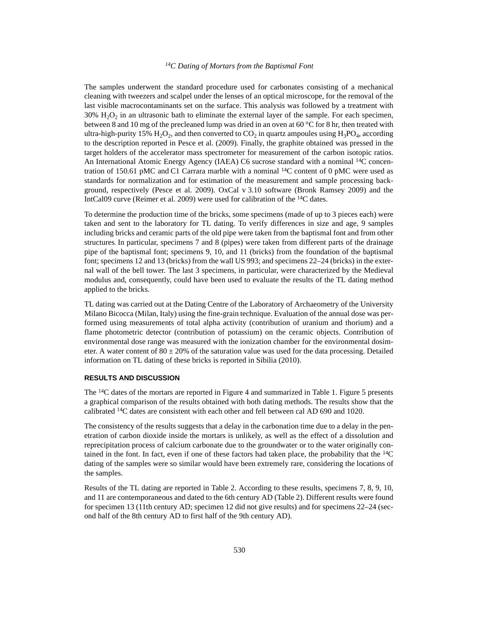#### *<sup>14</sup>C Dating of Mortars from the Baptismal Font*

The samples underwent the standard procedure used for carbonates consisting of a mechanical cleaning with tweezers and scalpel under the lenses of an optical microscope, for the removal of the last visible macrocontaminants set on the surface. This analysis was followed by a treatment with  $30\%$   $\mathrm{H}_2\mathrm{O}_2$  in an ultrasonic bath to eliminate the external layer of the sample. For each specimen, between 8 and 10 mg of the precleaned lump was dried in an oven at 60 °C for 8 hr, then treated with ultra-high-purity 15%  $\rm H_2O_2$ , and then converted to  $\rm CO_2$  in quartz ampoules using  $\rm H_3PO_4$ , according to the description reported in Pesce et al. (2009). Finally, the graphite obtained was pressed in the target holders of the accelerator mass spectrometer for measurement of the carbon isotopic ratios. An International Atomic Energy Agency (IAEA) C6 sucrose standard with a nominal <sup>14</sup>C concentration of 150.61 pMC and C1 Carrara marble with a nominal  $^{14}$ C content of 0 pMC were used as standards for normalization and for estimation of the measurement and sample processing background, respectively (Pesce et al. 2009). OxCal v 3.10 software (Bronk Ramsey 2009) and the IntCal09 curve (Reimer et al. 2009) were used for calibration of the <sup>14</sup>C dates.

To determine the production time of the bricks, some specimens (made of up to 3 pieces each) were taken and sent to the laboratory for TL dating. To verify differences in size and age, 9 samples including bricks and ceramic parts of the old pipe were taken from the baptismal font and from other structures. In particular, specimens 7 and 8 (pipes) were taken from different parts of the drainage pipe of the baptismal font; specimens 9, 10, and 11 (bricks) from the foundation of the baptismal font; specimens 12 and 13 (bricks) from the wall US 993; and specimens 22–24 (bricks) in the external wall of the bell tower. The last 3 specimens, in particular, were characterized by the Medieval modulus and, consequently, could have been used to evaluate the results of the TL dating method applied to the bricks.

TL dating was carried out at the Dating Centre of the Laboratory of Archaeometry of the University Milano Bicocca (Milan, Italy) using the fine-grain technique. Evaluation of the annual dose was performed using measurements of total alpha activity (contribution of uranium and thorium) and a flame photometric detector (contribution of potassium) on the ceramic objects. Contribution of environmental dose range was measured with the ionization chamber for the environmental dosimeter. A water content of  $80 \pm 20\%$  of the saturation value was used for the data processing. Detailed information on TL dating of these bricks is reported in Sibilia (2010).

## **RESULTS AND DISCUSSION**

The <sup>14</sup>C dates of the mortars are reported in Figure 4 and summarized in Table 1. Figure 5 presents a graphical comparison of the results obtained with both dating methods. The results show that the calibrated <sup>14</sup>C dates are consistent with each other and fell between cal AD 690 and 1020.

The consistency of the results suggests that a delay in the carbonation time due to a delay in the penetration of carbon dioxide inside the mortars is unlikely, as well as the effect of a dissolution and reprecipitation process of calcium carbonate due to the groundwater or to the water originally contained in the font. In fact, even if one of these factors had taken place, the probability that the  $^{14}C$ dating of the samples were so similar would have been extremely rare, considering the locations of the samples.

Results of the TL dating are reported in Table 2. According to these results, specimens 7, 8, 9, 10, and 11 are contemporaneous and dated to the 6th century AD (Table 2). Different results were found for specimen 13 (11th century AD; specimen 12 did not give results) and for specimens 22–24 (second half of the 8th century AD to first half of the 9th century AD).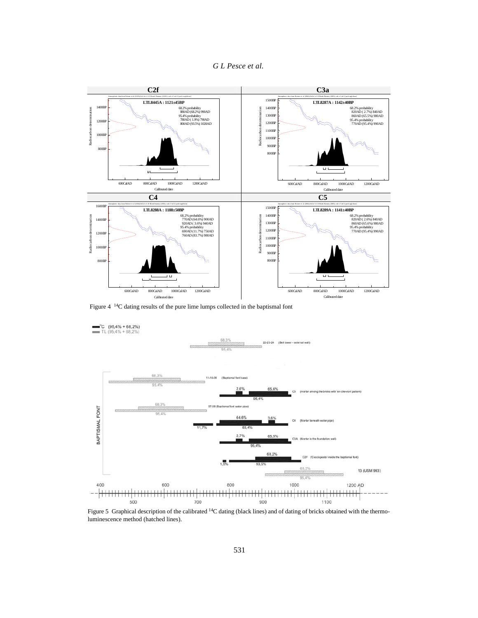



Figure 4 <sup>14</sup>C dating results of the pure lime lumps collected in the baptismal font



Figure 5 Graphical description of the calibrated <sup>14</sup>C dating (black lines) and of dating of bricks obtained with the thermoluminescence method (hatched lines).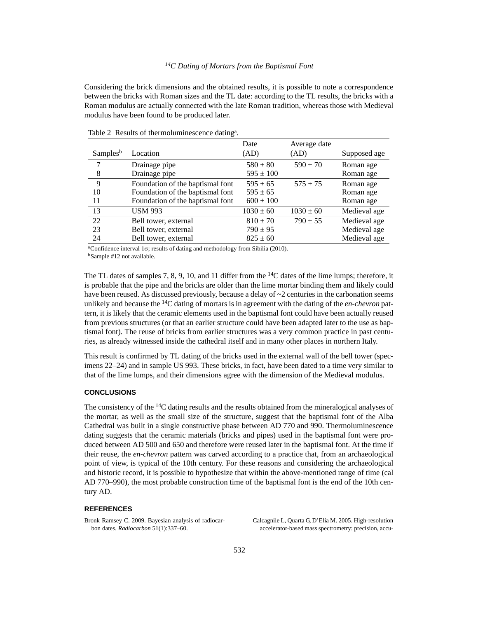#### *<sup>14</sup>C Dating of Mortars from the Baptismal Font*

Considering the brick dimensions and the obtained results, it is possible to note a correspondence between the bricks with Roman sizes and the TL date: according to the TL results, the bricks with a Roman modulus are actually connected with the late Roman tradition, whereas those with Medieval modulus have been found to be produced later.

|                      |                                  | Date          | Average date  |              |
|----------------------|----------------------------------|---------------|---------------|--------------|
| Samples <sup>b</sup> | Location                         | (AD)          | (AD)          | Supposed age |
| 7                    | Drainage pipe                    | $580 \pm 80$  | $590 \pm 70$  | Roman age    |
| 8                    | Drainage pipe                    | $595 \pm 100$ |               | Roman age    |
| 9                    | Foundation of the baptismal font | $595 \pm 65$  | $575 + 75$    | Roman age    |
| 10                   | Foundation of the baptismal font | $595 \pm 65$  |               | Roman age    |
| 11                   | Foundation of the baptismal font | $600 \pm 100$ |               | Roman age    |
| 13                   | <b>USM 993</b>                   | $1030 \pm 60$ | $1030 \pm 60$ | Medieval age |
| 22                   | Bell tower, external             | $810 \pm 70$  | $790 \pm 55$  | Medieval age |
| 23                   | Bell tower, external             | $790 \pm 95$  |               | Medieval age |
| 24                   | Bell tower, external             | $825 \pm 60$  |               | Medieval age |

Table 2 Results of thermoluminescence dating<sup>a</sup>.

<sup>a</sup>Confidence interval  $1\sigma$ ; results of dating and methodology from Sibilia (2010). <sup>b</sup>Sample #12 not available.

The TL dates of samples 7, 8, 9, 10, and 11 differ from the  $14C$  dates of the lime lumps; therefore, it is probable that the pipe and the bricks are older than the lime mortar binding them and likely could have been reused. As discussed previously, because a delay of  $\sim$ 2 centuries in the carbonation seems unlikely and because the 14C dating of mortars is in agreement with the dating of the *en-chevron* pattern, it is likely that the ceramic elements used in the baptismal font could have been actually reused from previous structures (or that an earlier structure could have been adapted later to the use as baptismal font). The reuse of bricks from earlier structures was a very common practice in past centuries, as already witnessed inside the cathedral itself and in many other places in northern Italy.

This result is confirmed by TL dating of the bricks used in the external wall of the bell tower (specimens 22–24) and in sample US 993. These bricks, in fact, have been dated to a time very similar to that of the lime lumps, and their dimensions agree with the dimension of the Medieval modulus.

#### **CONCLUSIONS**

The consistency of the <sup>14</sup>C dating results and the results obtained from the mineralogical analyses of the mortar, as well as the small size of the structure, suggest that the baptismal font of the Alba Cathedral was built in a single constructive phase between AD 770 and 990. Thermoluminescence dating suggests that the ceramic materials (bricks and pipes) used in the baptismal font were produced between AD 500 and 650 and therefore were reused later in the baptismal font. At the time if their reuse, the *en-chevron* pattern was carved according to a practice that, from an archaeological point of view, is typical of the 10th century. For these reasons and considering the archaeological and historic record, it is possible to hypothesize that within the above-mentioned range of time (cal AD 770–990), the most probable construction time of the baptismal font is the end of the 10th century AD.

#### **REFERENCES**

Bronk Ramsey C. 2009. Bayesian analysis of radiocarbon dates. *Radiocarbon* 51(1):337–60.

Calcagnile L, Quarta G, D'Elia M. 2005. High-resolution accelerator-based mass spectrometry: precision, accu